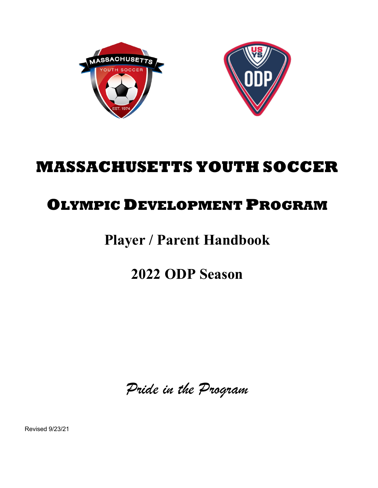



# **MASSACHUSETTS YOUTH SOCCER**

# **OLYMPIC DEVELOPMENT PROGRAM**

# **Player / Parent Handbook**

**2022 ODP Season**

*Pride in the Program*

Revised 9/23/21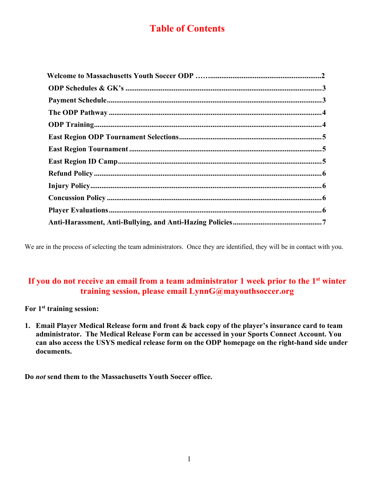## **Table of Contents**

We are in the process of selecting the team administrators. Once they are identified, they will be in contact with you.

## **If you do not receive an email from a team administrator 1 week prior to the 1st winter training session, please email LynnG@mayouthsoccer.org**

**For 1st training session:**

**1. Email Player Medical Release form and front & back copy of the player's insurance card to team administrator. The Medical Release Form can be accessed in your Sports Connect Account. You can also access the USYS medical release form on the ODP homepage on the right-hand side under documents.**

**Do** *not* **send them to the Massachusetts Youth Soccer office.**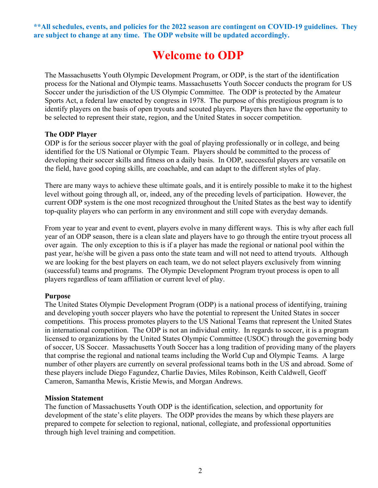**\*\*All schedules, events, and policies for the 2022 season are contingent on COVID-19 guidelines. They are subject to change at any time. The ODP website will be updated accordingly.**

## **Welcome to ODP**

The Massachusetts Youth Olympic Development Program, or ODP, is the start of the identification process for the National and Olympic teams. Massachusetts Youth Soccer conducts the program for US Soccer under the jurisdiction of the US Olympic Committee. The ODP is protected by the Amateur Sports Act, a federal law enacted by congress in 1978. The purpose of this prestigious program is to identify players on the basis of open tryouts and scouted players. Players then have the opportunity to be selected to represent their state, region, and the United States in soccer competition.

#### **The ODP Player**

ODP is for the serious soccer player with the goal of playing professionally or in college, and being identified for the US National or Olympic Team. Players should be committed to the process of developing their soccer skills and fitness on a daily basis. In ODP, successful players are versatile on the field, have good coping skills, are coachable, and can adapt to the different styles of play.

There are many ways to achieve these ultimate goals, and it is entirely possible to make it to the highest level without going through all, or, indeed, any of the preceding levels of participation. However, the current ODP system is the one most recognized throughout the United States as the best way to identify top-quality players who can perform in any environment and still cope with everyday demands.

From year to year and event to event, players evolve in many different ways. This is why after each full year of an ODP season, there is a clean slate and players have to go through the entire tryout process all over again. The only exception to this is if a player has made the regional or national pool within the past year, he/she will be given a pass onto the state team and will not need to attend tryouts. Although we are looking for the best players on each team, we do not select players exclusively from winning (successful) teams and programs. The Olympic Development Program tryout process is open to all players regardless of team affiliation or current level of play.

#### **Purpose**

The United States Olympic Development Program (ODP) is a national process of identifying, training and developing youth soccer players who have the potential to represent the United States in soccer competitions. This process promotes players to the US National Teams that represent the United States in international competition. The ODP is not an individual entity. In regards to soccer, it is a program licensed to organizations by the United States Olympic Committee (USOC) through the governing body of soccer, US Soccer. Massachusetts Youth Soccer has a long tradition of providing many of the players that comprise the regional and national teams including the World Cup and Olympic Teams. A large number of other players are currently on several professional teams both in the US and abroad. Some of these players include Diego Fagundez, Charlie Davies, Miles Robinson, Keith Caldwell, Geoff Cameron, Samantha Mewis, Kristie Mewis, and Morgan Andrews.

#### **Mission Statement**

The function of Massachusetts Youth ODP is the identification, selection, and opportunity for development of the state's elite players. The ODP provides the means by which these players are prepared to compete for selection to regional, national, collegiate, and professional opportunities through high level training and competition.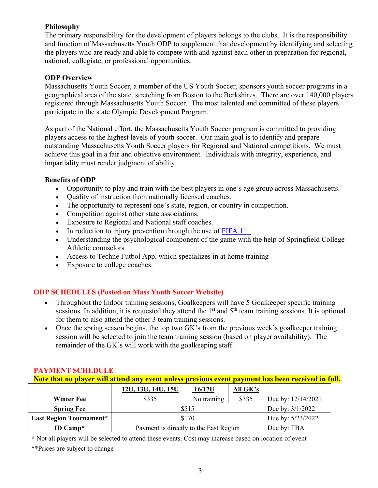#### **Philosophy**

The primary responsibility for the development of players belongs to the clubs. It is the responsibility and function of Massachusetts Youth ODP to supplement that development by identifying and selecting the players who are ready and able to compete with and against each other in preparation for regional, national, collegiate, or professional opportunities.

#### **ODP Overview**

Massachusetts Youth Soccer, a member of the US Youth Soccer, sponsors youth soccer programs in a geographical area of the state, stretching from Boston to the Berkshires. There are over 140,000 players registered through Massachusetts Youth Soccer. The most talented and committed of these players participate in the state Olympic Development Program.

As part of the National effort, the Massachusetts Youth Soccer program is committed to providing players access to the highest levels of youth soccer. Our main goal is to identify and prepare outstanding Massachusetts Youth Soccer players for Regional and National competitions. We must achieve this goal in a fair and objective environment. Individuals with integrity, experience, and impartiality must render judgment of ability.

### **Benefits of ODP**

- Opportunity to play and train with the best players in one's age group across Massachusetts.
- Quality of instruction from nationally licensed coaches.
- The opportunity to represent one's state, region, or country in competition.
- Competition against other state associations.
- Exposure to Regional and National staff coaches.
- Introduction to injury prevention through the use of FIFA  $11+$
- Understanding the psychological component of the game with the help of Springfield College Athletic counselors
- Access to Techne Futbol App, which specializes in at home training
- Exposure to college coaches.

## **ODP SCHEDULES (Posted on Mass Youth Soccer Website)**

- Throughout the Indoor training sessions, Goalkeepers will have 5 Goalkeeper specific training sessions. In addition, it is requested they attend the  $1<sup>st</sup>$  and  $5<sup>th</sup>$  team training sessions. It is optional for them to also attend the other 3 team training sessions.
- Once the spring season begins, the top two GK's from the previous week's goalkeeper training session will be selected to join the team training session (based on player availability). The remainder of the GK's will work with the goalkeeping staff.

| Note that no player will attend any event unless previous event payment has been received in full. |                                        |             |             |                    |  |  |  |
|----------------------------------------------------------------------------------------------------|----------------------------------------|-------------|-------------|--------------------|--|--|--|
|                                                                                                    | 12U, 13U, 14U, 15U                     | 16/17U      | All $G K's$ |                    |  |  |  |
| <b>Winter Fee</b>                                                                                  | \$335                                  | No training | \$335       | Due by: 12/14/2021 |  |  |  |
| <b>Spring Fee</b>                                                                                  | \$515                                  |             |             | Due by: $3/1/2022$ |  |  |  |
| <b>East Region Tournament*</b>                                                                     | \$170                                  |             |             | Due by: 5/23/2022  |  |  |  |
| ID Camp $*$                                                                                        | Payment is directly to the East Region |             |             | Due by: TBA        |  |  |  |

## **PAYMENT SCHEDULE**

**\*** Not all players will be selected to attend these events. Cost may increase based on location of event

\*\*Prices are subject to change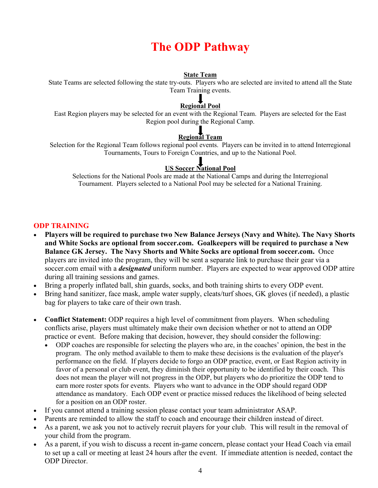## **The ODP Pathway**

#### **State Team**

State Teams are selected following the state try-outs. Players who are selected are invited to attend all the State Team Training events.

#### $\bf{l}$ **Regional Pool**

East Region players may be selected for an event with the Regional Team. Players are selected for the East Region pool during the Regional Camp.

## **Regional Team**

Selection for the Regional Team follows regional pool events. Players can be invited in to attend Interregional Tournaments, Tours to Foreign Countries, and up to the National Pool.

## **US Soccer National Pool**

Selections for the National Pools are made at the National Camps and during the Interregional Tournament. Players selected to a National Pool may be selected for a National Training.

### **ODP TRAINING**

- **Players will be required to purchase two New Balance Jerseys (Navy and White). The Navy Shorts and White Socks are optional from soccer.com. Goalkeepers will be required to purchase a New Balance GK Jersey. The Navy Shorts and White Socks are optional from soccer.com.** Once players are invited into the program, they will be sent a separate link to purchase their gear via a soccer.com email with a *designated* uniform number. Players are expected to wear approved ODP attire during all training sessions and games.
- Bring a properly inflated ball, shin guards, socks, and both training shirts to every ODP event.
- Bring hand sanitizer, face mask, ample water supply, cleats/turf shoes, GK gloves (if needed), a plastic bag for players to take care of their own trash.
- **Conflict Statement:** ODP requires a high level of commitment from players. When scheduling conflicts arise, players must ultimately make their own decision whether or not to attend an ODP practice or event. Before making that decision, however, they should consider the following:
	- ODP coaches are responsible for selecting the players who are, in the coaches' opinion, the best in the program. The only method available to them to make these decisions is the evaluation of the player's performance on the field. If players decide to forgo an ODP practice, event, or East Region activity in favor of a personal or club event, they diminish their opportunity to be identified by their coach. This does not mean the player will not progress in the ODP, but players who do prioritize the ODP tend to earn more roster spots for events. Players who want to advance in the ODP should regard ODP attendance as mandatory. Each ODP event or practice missed reduces the likelihood of being selected for a position on an ODP roster.
- If you cannot attend a training session please contact your team administrator ASAP.
- Parents are reminded to allow the staff to coach and encourage their children instead of direct.
- As a parent, we ask you not to actively recruit players for your club. This will result in the removal of your child from the program.
- As a parent, if you wish to discuss a recent in-game concern, please contact your Head Coach via email to set up a call or meeting at least 24 hours after the event. If immediate attention is needed, contact the ODP Director.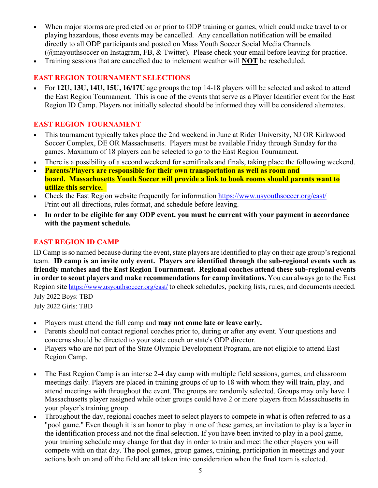- When major storms are predicted on or prior to ODP training or games, which could make travel to or playing hazardous, those events may be cancelled. Any cancellation notification will be emailed directly to all ODP participants and posted on Mass Youth Soccer Social Media Channels (@mayouthsoccer on Instagram, FB, & Twitter). Please check your email before leaving for practice.
- Training sessions that are cancelled due to inclement weather will **NOT** be rescheduled.

## **EAST REGION TOURNAMENT SELECTIONS**

• For **12U, 13U, 14U, 15U, 16/17U** age groups the top 14-18 players will be selected and asked to attend the East Region Tournament. This is one of the events that serve as a Player Identifier event for the East Region ID Camp. Players not initially selected should be informed they will be considered alternates.

### **EAST REGION TOURNAMENT**

- This tournament typically takes place the 2nd weekend in June at Rider University, NJ OR Kirkwood Soccer Complex, DE OR Massachusetts. Players must be available Friday through Sunday for the games. Maximum of 18 players can be selected to go to the East Region Tournament.
- There is a possibility of a second weekend for semifinals and finals, taking place the following weekend.
- **Parents/Players are responsible for their own transportation as well as room and board. Massachusetts Youth Soccer will provide a link to book rooms should parents want to utilize this service.**
- Check the East Region website frequently for information https://www.usyouthsoccer.org/east/ Print out all directions, rules format, and schedule before leaving.
- **In order to be eligible for any ODP event, you must be current with your payment in accordance with the payment schedule.**

### **EAST REGION ID CAMP**

ID Camp is so named because during the event, state players are identified to play on their age group's regional team. **ID camp is an invite only event. Players are identified through the sub-regional events such as friendly matches and the East Region Tournament. Regional coaches attend these sub-regional events in order to scout players and make recommendations for camp invitations.** You can always go to the East Region site https://www.usyouthsoccer.org/east/ to check schedules, packing lists, rules, and documents needed. July 2022 Boys: TBD

July 2022 Girls: TBD

- Players must attend the full camp and **may not come late or leave early.**
- Parents should not contact regional coaches prior to, during or after any event. Your questions and concerns should be directed to your state coach or state's ODP director.
- Players who are not part of the State Olympic Development Program, are not eligible to attend East Region Camp.
- The East Region Camp is an intense 2-4 day camp with multiple field sessions, games, and classroom meetings daily. Players are placed in training groups of up to 18 with whom they will train, play, and attend meetings with throughout the event. The groups are randomly selected. Groups may only have 1 Massachusetts player assigned while other groups could have 2 or more players from Massachusetts in your player's training group.
- Throughout the day, regional coaches meet to select players to compete in what is often referred to as a "pool game." Even though it is an honor to play in one of these games, an invitation to play is a layer in the identification process and not the final selection. If you have been invited to play in a pool game, your training schedule may change for that day in order to train and meet the other players you will compete with on that day. The pool games, group games, training, participation in meetings and your actions both on and off the field are all taken into consideration when the final team is selected.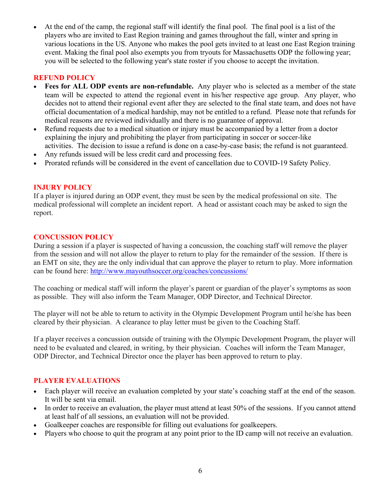• At the end of the camp, the regional staff will identify the final pool. The final pool is a list of the players who are invited to East Region training and games throughout the fall, winter and spring in various locations in the US. Anyone who makes the pool gets invited to at least one East Region training event. Making the final pool also exempts you from tryouts for Massachusetts ODP the following year; you will be selected to the following year's state roster if you choose to accept the invitation.

### **REFUND POLICY**

- Fees for ALL ODP events are non-refundable. Any player who is selected as a member of the state team will be expected to attend the regional event in his/her respective age group. Any player, who decides not to attend their regional event after they are selected to the final state team, and does not have official documentation of a medical hardship, may not be entitled to a refund. Please note that refunds for medical reasons are reviewed individually and there is no guarantee of approval.
- Refund requests due to a medical situation or injury must be accompanied by a letter from a doctor explaining the injury and prohibiting the player from participating in soccer or soccer-like activities. The decision to issue a refund is done on a case-by-case basis; the refund is not guaranteed.
- Any refunds issued will be less credit card and processing fees.
- Prorated refunds will be considered in the event of cancellation due to COVID-19 Safety Policy.

#### **INJURY POLICY**

If a player is injured during an ODP event, they must be seen by the medical professional on site. The medical professional will complete an incident report. A head or assistant coach may be asked to sign the report.

#### **CONCUSSION POLICY**

During a session if a player is suspected of having a concussion, the coaching staff will remove the player from the session and will not allow the player to return to play for the remainder of the session. If there is an EMT on site, they are the only individual that can approve the player to return to play. More information can be found here: http://www.mayouthsoccer.org/coaches/concussions/

The coaching or medical staff will inform the player's parent or guardian of the player's symptoms as soon as possible. They will also inform the Team Manager, ODP Director, and Technical Director.

The player will not be able to return to activity in the Olympic Development Program until he/she has been cleared by their physician. A clearance to play letter must be given to the Coaching Staff.

If a player receives a concussion outside of training with the Olympic Development Program, the player will need to be evaluated and cleared, in writing, by their physician. Coaches will inform the Team Manager, ODP Director, and Technical Director once the player has been approved to return to play.

#### **PLAYER EVALUATIONS**

- Each player will receive an evaluation completed by your state's coaching staff at the end of the season. It will be sent via email.
- In order to receive an evaluation, the player must attend at least 50% of the sessions. If you cannot attend at least half of all sessions, an evaluation will not be provided.
- Goalkeeper coaches are responsible for filling out evaluations for goalkeepers.
- Players who choose to quit the program at any point prior to the ID camp will not receive an evaluation.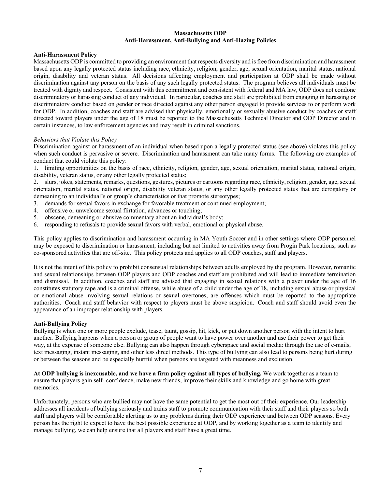#### **Massachusetts ODP Anti-Harassment, Anti-Bullying and Anti-Hazing Policies**

#### **Anti-Harassment Policy**

Massachusetts ODP is committed to providing an environment that respects diversity and is free from discrimination and harassment based upon any legally protected status including race, ethnicity, religion, gender, age, sexual orientation, marital status, national origin, disability and veteran status. All decisions affecting employment and participation at ODP shall be made without discrimination against any person on the basis of any such legally protected status. The program believes all individuals must be treated with dignity and respect. Consistent with this commitment and consistent with federal and MA law, ODP does not condone discriminatory or harassing conduct of any individual. In particular, coaches and staff are prohibited from engaging in harassing or discriminatory conduct based on gender or race directed against any other person engaged to provide services to or perform work for ODP. In addition, coaches and staff are advised that physically, emotionally or sexually abusive conduct by coaches or staff directed toward players under the age of 18 must be reported to the Massachusetts Technical Director and ODP Director and in certain instances, to law enforcement agencies and may result in criminal sanctions.

#### *Behaviors that Violate this Policy*

Discrimination against or harassment of an individual when based upon a legally protected status (see above) violates this policy when such conduct is pervasive or severe. Discrimination and harassment can take many forms. The following are examples of conduct that could violate this policy:

1. limiting opportunities on the basis of race, ethnicity, religion, gender, age, sexual orientation, marital status, national origin, disability, veteran status, or any other legally protected status;

2. slurs, jokes, statements, remarks, questions, gestures, pictures or cartoons regarding race, ethnicity, religion, gender, age, sexual orientation, marital status, national origin, disability veteran status, or any other legally protected status that are derogatory or demeaning to an individual's or group's characteristics or that promote stereotypes;

- 3. demands for sexual favors in exchange for favorable treatment or continued employment;
- 4. offensive or unwelcome sexual flirtation, advances or touching;
- 5. obscene, demeaning or abusive commentary about an individual's body;
- 6. responding to refusals to provide sexual favors with verbal, emotional or physical abuse.

This policy applies to discrimination and harassment occurring in MA Youth Soccer and in other settings where ODP personnel may be exposed to discrimination or harassment, including but not limited to activities away from Progin Park locations, such as co-sponsored activities that are off-site. This policy protects and applies to all ODP coaches, staff and players.

It is not the intent of this policy to prohibit consensual relationships between adults employed by the program. However, romantic and sexual relationships between ODP players and ODP coaches and staff are prohibited and will lead to immediate termination and dismissal. In addition, coaches and staff are advised that engaging in sexual relations with a player under the age of 16 constitutes statutory rape and is a criminal offense, while abuse of a child under the age of 18, including sexual abuse or physical or emotional abuse involving sexual relations or sexual overtones, are offenses which must be reported to the appropriate authorities. Coach and staff behavior with respect to players must be above suspicion. Coach and staff should avoid even the appearance of an improper relationship with players.

#### **Anti-Bullying Policy**

Bullying is when one or more people exclude, tease, taunt, gossip, hit, kick, or put down another person with the intent to hurt another. Bullying happens when a person or group of people want to have power over another and use their power to get their way, at the expense of someone else. Bullying can also happen through cyberspace and social media: through the use of e-mails, text messaging, instant messaging, and other less direct methods. This type of bullying can also lead to persons being hurt during or between the seasons and be especially hurtful when persons are targeted with meanness and exclusion.

**At ODP bullying is inexcusable, and we have a firm policy against all types of bullying.** We work together as a team to ensure that players gain self- confidence, make new friends, improve their skills and knowledge and go home with great memories.

Unfortunately, persons who are bullied may not have the same potential to get the most out of their experience. Our leadership addresses all incidents of bullying seriously and trains staff to promote communication with their staff and their players so both staff and players will be comfortable alerting us to any problems during their ODP experience and between ODP seasons. Every person has the right to expect to have the best possible experience at ODP, and by working together as a team to identify and manage bullying, we can help ensure that all players and staff have a great time.